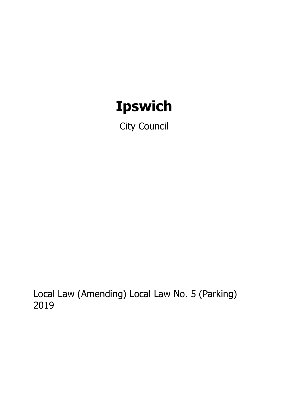# **Ipswich**

City Council

Local Law (Amending) Local Law No. 5 (Parking) 2019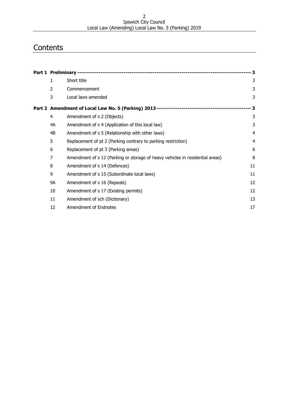#### Ipswich City Council Local Law (Amending) Local Law No. 5 (Parking) 2019

# **Contents**

|           |                                                                               | - 3            |
|-----------|-------------------------------------------------------------------------------|----------------|
| 1         | Short title                                                                   | 3              |
| 2         | Commencement                                                                  | 3              |
| 3         | Local laws amended                                                            | 3              |
|           |                                                                               | - 3            |
| 4         | Amendment of s 2 (Objects)                                                    | 3              |
| 4A        | Amendment of s 4 (Application of this local law)                              | 3              |
| 4B        | Amendment of s 5 (Relationship with other laws)                               | 4              |
| 5         | Replacement of pt 2 (Parking contrary to parking restriction)                 | $\overline{4}$ |
| 6         | Replacement of pt 3 (Parking areas)                                           | 6              |
| 7         | Amendment of s 12 (Parking or storage of heavy vehicles in residential areas) | 8              |
| 8         | Amendment of s 14 (Defences)                                                  | 11             |
| 9         | Amendment of s 15 (Subordinate local laws)                                    | 11             |
| <b>9A</b> | Amendment of s 16 (Repeals)                                                   | 12             |
| 10        | Amendment of s 17 (Existing permits)                                          | 12             |
| 11        | Amendment of sch (Dictionary)                                                 | 13             |
| 12        | Amendment of Endnotes                                                         | 17             |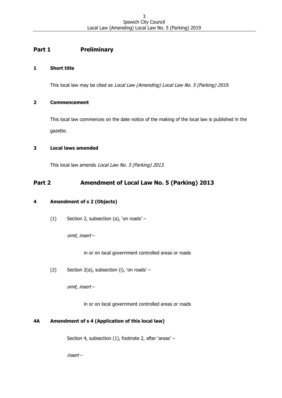# <span id="page-2-0"></span>**Part 1 Preliminary**

# <span id="page-2-1"></span>**1 Short title**

This local law may be cited as Local Law (Amending) Local Law No. 5 (Parking) 2019.

# <span id="page-2-2"></span>**2 Commencement**

This local law commences on the date notice of the making of the local law is published in the gazette.

# <span id="page-2-3"></span>**3 Local laws amended**

This local law amends Local Law No. 5 (Parking) 2013.

# <span id="page-2-4"></span>**Part 2 Amendment of Local Law No. 5 (Parking) 2013**

# <span id="page-2-5"></span>**4 Amendment of s 2 (Objects)**

(1) Section 2, subsection (a), 'on roads' –

omit, insert –

in or on local government controlled areas or roads

(2) Section 2(a), subsection (i), 'on roads' –

omit, insert –

in or on local government controlled areas or roads

# <span id="page-2-6"></span>**4A Amendment of s 4 (Application of this local law)**

Section 4, subsection (1), footnote 2, after 'areas' –

insert –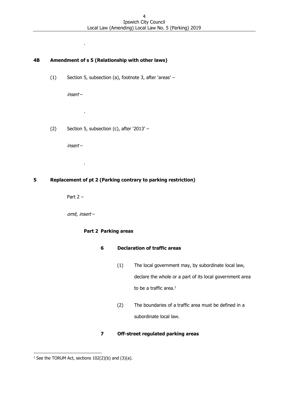# <span id="page-3-0"></span>**4B Amendment of s 5 (Relationship with other laws)**

(1) Section 5, subsection (a), footnote 3, after 'areas' –

insert –

.

.

.

(2) Section 5, subsection (c), after '2013' –

insert –

# <span id="page-3-1"></span>**5 Replacement of pt 2 (Parking contrary to parking restriction)**

Part  $2 -$ 

omit, insert –

# **Part 2 Parking areas**

# **6 Declaration of traffic areas**

- (1) The local government may, by subordinate local law, declare the whole or a part of its local government area to be a traffic area. $1$
- (2) The boundaries of a traffic area must be defined in a subordinate local law.

# **7 Off-street regulated parking areas**

<sup>&</sup>lt;sup>1</sup> See the TORUM Act, sections  $102(2)(b)$  and  $(3)(a)$ .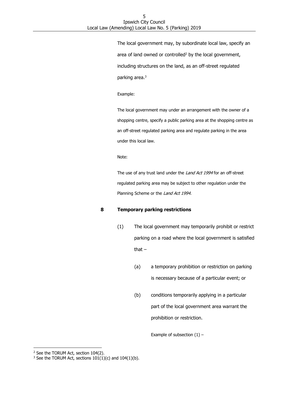The local government may, by subordinate local law, specify an area of land owned or controlled<sup>2</sup> by the local government, including structures on the land, as an off-street regulated parking area.<sup>3</sup>

Example:

The local government may under an arrangement with the owner of a shopping centre, specify a public parking area at the shopping centre as an off-street regulated parking area and regulate parking in the area under this local law.

Note:

The use of any trust land under the Land Act 1994 for an off-street regulated parking area may be subject to other regulation under the Planning Scheme or the Land Act 1994.

#### **8 Temporary parking restrictions**

- (1) The local government may temporarily prohibit or restrict parking on a road where the local government is satisfied that  $-$ 
	- (a) a temporary prohibition or restriction on parking is necessary because of a particular event; or
	- (b) conditions temporarily applying in a particular part of the local government area warrant the prohibition or restriction.

Example of subsection  $(1)$  –

<sup>&</sup>lt;sup>2</sup> See the TORUM Act, section 104(2).

<sup>&</sup>lt;sup>3</sup> See the TORUM Act, sections  $101(1)(c)$  and  $104(1)(b)$ .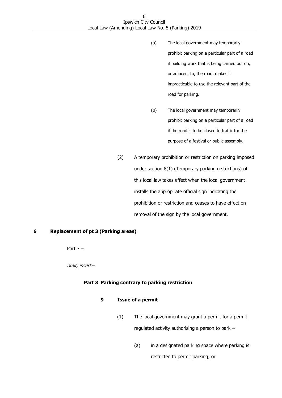- (a) The local government may temporarily prohibit parking on a particular part of a road if building work that is being carried out on, or adjacent to, the road, makes it impracticable to use the relevant part of the road for parking.
- (b) The local government may temporarily prohibit parking on a particular part of a road if the road is to be closed to traffic for the purpose of a festival or public assembly.
- (2) A temporary prohibition or restriction on parking imposed under section 8(1) (Temporary parking restrictions) of this local law takes effect when the local government installs the appropriate official sign indicating the prohibition or restriction and ceases to have effect on removal of the sign by the local government.

# <span id="page-5-0"></span>**6 Replacement of pt 3 (Parking areas)**

Part  $3 -$ 

omit, insert –

#### **Part 3 Parking contrary to parking restriction**

#### **9 Issue of a permit**

- (1) The local government may grant a permit for a permit regulated activity authorising a person to park –
	- (a) in a designated parking space where parking is restricted to permit parking; or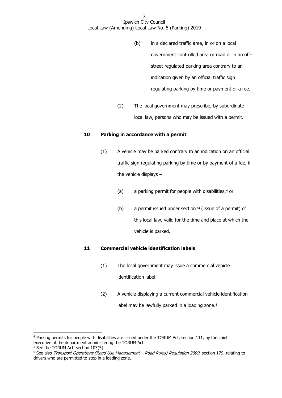- (b) in a declared traffic area, in or on a local government controlled area or road or in an offstreet regulated parking area contrary to an indication given by an official traffic sign regulating parking by time or payment of a fee.
- (2) The local government may prescribe, by subordinate local law, persons who may be issued with a permit.

#### **10 Parking in accordance with a permit**

- (1) A vehicle may be parked contrary to an indication on an official traffic sign regulating parking by time or by payment of a fee, if the vehicle displays –
	- (a) a parking permit for people with disabilities;<sup>4</sup> or
	- (b) a permit issued under section 9 (Issue of a permit) of this local law, valid for the time and place at which the vehicle is parked.

# **11 Commercial vehicle identification labels**

- (1) The local government may issue a commercial vehicle identification label.<sup>5</sup>
- (2) A vehicle displaying a current commercial vehicle identification label may be lawfully parked in a loading zone.<sup>6</sup>

<sup>4</sup> Parking permits for people with disabilities are issued under the TORUM Act, section 111, by the chief executive of the department administering the TORUM Act.

<sup>&</sup>lt;sup>5</sup> See the TORUM Act, section 103(5).

<sup>&</sup>lt;sup>6</sup> See also Transport Operations (Road Use Management – Road Rules) Regulation 2009, section 179, relating to drivers who are permitted to stop in a loading zone.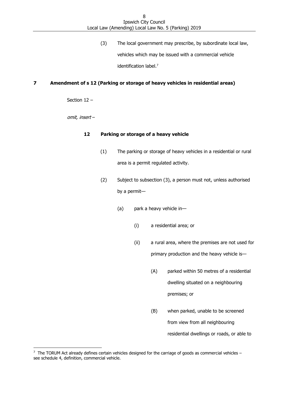(3) The local government may prescribe, by subordinate local law, vehicles which may be issued with a commercial vehicle identification label.<sup>7</sup>

# <span id="page-7-0"></span>**7 Amendment of s 12 (Parking or storage of heavy vehicles in residential areas)**

Section 12 –

omit, insert –

#### **12 Parking or storage of a heavy vehicle**

- (1) The parking or storage of heavy vehicles in a residential or rural area is a permit regulated activity.
- (2) Subject to subsection (3), a person must not, unless authorised by a permit—
	- (a) park a heavy vehicle in—
		- (i) a residential area; or
		- (ii) a rural area, where the premises are not used for primary production and the heavy vehicle is—
			- (A) parked within 50 metres of a residential dwelling situated on a neighbouring premises; or
			- (B) when parked, unable to be screened from view from all neighbouring residential dwellings or roads, or able to

 7 The TORUM Act already defines certain vehicles designed for the carriage of goods as commercial vehicles – see schedule 4, definition, commercial vehicle.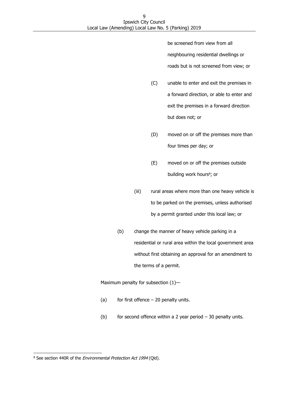be screened from view from all neighbouring residential dwellings or roads but is not screened from view; or

- (C) unable to enter and exit the premises in a forward direction, or able to enter and exit the premises in a forward direction but does not; or
- (D) moved on or off the premises more than four times per day; or
- (E) moved on or off the premises outside building work hours<sup>8</sup>; or
- (iii) rural areas where more than one heavy vehicle is to be parked on the premises, unless authorised by a permit granted under this local law; or
- (b) change the manner of heavy vehicle parking in a residential or rural area within the local government area without first obtaining an approval for an amendment to the terms of a permit.

Maximum penalty for subsection (1)—

- (a) for first offence  $-20$  penalty units.
- (b) for second offence within a 2 year period  $-30$  penalty units.

<sup>&</sup>lt;sup>8</sup> See section 440R of the *Environmental Protection Act 1994* (Qld).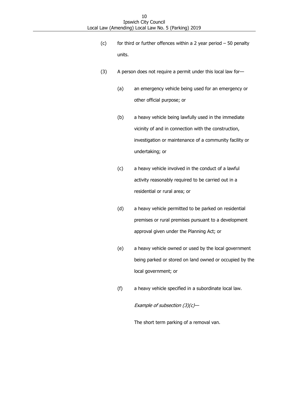- (c) for third or further offences within a 2 year period  $-50$  penalty units.
- (3) A person does not require a permit under this local law for—
	- (a) an emergency vehicle being used for an emergency or other official purpose; or
	- (b) a heavy vehicle being lawfully used in the immediate vicinity of and in connection with the construction, investigation or maintenance of a community facility or undertaking; or
	- (c) a heavy vehicle involved in the conduct of a lawful activity reasonably required to be carried out in a residential or rural area; or
	- (d) a heavy vehicle permitted to be parked on residential premises or rural premises pursuant to a development approval given under the Planning Act; or
	- (e) a heavy vehicle owned or used by the local government being parked or stored on land owned or occupied by the local government; or
	- (f) a heavy vehicle specified in a subordinate local law.

Example of subsection  $(3)(c)$ —

The short term parking of a removal van.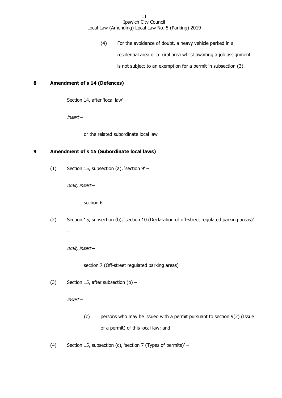(4) For the avoidance of doubt, a heavy vehicle parked in a

residential area or a rural area whilst awaiting a job assignment

is not subject to an exemption for a permit in subsection (3).

### <span id="page-10-0"></span>**8 Amendment of s 14 (Defences)**

Section 14, after 'local law' –

insert –

or the related subordinate local law

# <span id="page-10-1"></span>**9 Amendment of s 15 (Subordinate local laws)**

(1) Section 15, subsection (a), 'section 9' –

omit, insert –

section 6

(2) Section 15, subsection (b), 'section 10 (Declaration of off-street regulated parking areas)'

omit, insert –

–

section 7 (Off-street regulated parking areas)

(3) Section 15, after subsection  $(b)$  –

insert –

- (c) persons who may be issued with a permit pursuant to section 9(2) (Issue of a permit) of this local law; and
- (4) Section 15, subsection (c), 'section 7 (Types of permits)' –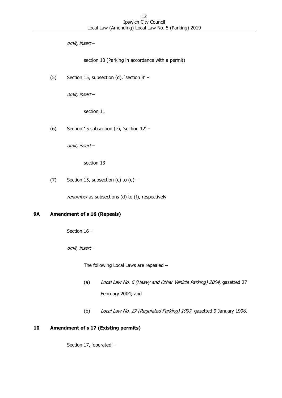omit, insert –

section 10 (Parking in accordance with a permit)

(5) Section 15, subsection (d), 'section 8' –

omit, insert –

section 11

(6) Section 15 subsection (e), 'section 12' –

omit, insert –

section 13

(7) Section 15, subsection (c) to  $(e)$  –

renumber as subsections (d) to (f), respectively

# <span id="page-11-0"></span>**9A Amendment of s 16 (Repeals)**

Section 16 –

omit, insert –

The following Local Laws are repealed –

- (a) Local Law No. 6 (Heavy and Other Vehicle Parking) 2004, gazetted 27 February 2004; and
- (b) Local Law No. 27 (Regulated Parking) 1997, gazetted 9 January 1998.

# <span id="page-11-1"></span>**10 Amendment of s 17 (Existing permits)**

Section 17, 'operated' –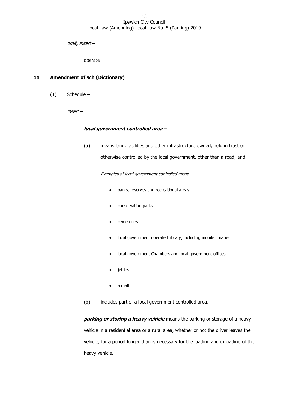omit, insert –

operate

# <span id="page-12-0"></span>**11 Amendment of sch (Dictionary)**

(1) Schedule –

insert –

#### **local government controlled area** –

(a) means land, facilities and other infrastructure owned, held in trust or otherwise controlled by the local government, other than a road; and

Examples of local government controlled areas—

- parks, reserves and recreational areas
- conservation parks
- cemeteries
- local government operated library, including mobile libraries
- local government Chambers and local government offices
- jetties
- a mall

(b) includes part of a local government controlled area.

**parking or storing a heavy vehicle** means the parking or storage of a heavy vehicle in a residential area or a rural area, whether or not the driver leaves the vehicle, for a period longer than is necessary for the loading and unloading of the heavy vehicle.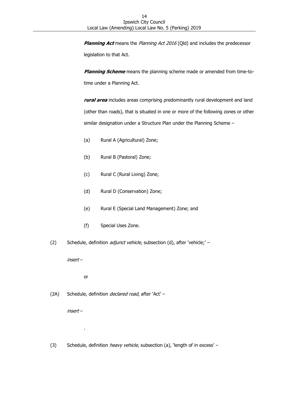**Planning Act** means the Planning Act 2016 (Qld) and includes the predecessor legislation to that Act.

**Planning Scheme** means the planning scheme made or amended from time-totime under a Planning Act.

**rural area** includes areas comprising predominantly rural development and land (other than roads), that is situated in one or more of the following zones or other similar designation under a Structure Plan under the Planning Scheme –

- (a) Rural A (Agricultural) Zone;
- (b) Rural B (Pastoral) Zone;
- (c) Rural C (Rural Living) Zone;
- (d) Rural D (Conservation) Zone;
- (e) Rural E (Special Land Management) Zone; and
- (f) Special Uses Zone.
- (2) Schedule, definition *adjunct vehicle*, subsection (d), after 'vehicle;' –

insert –

or

.

(2A) Schedule, definition *declared road*, after 'Act' -

insert –

(3) Schedule, definition *heavy vehicle*, subsection (a), 'length of in excess' –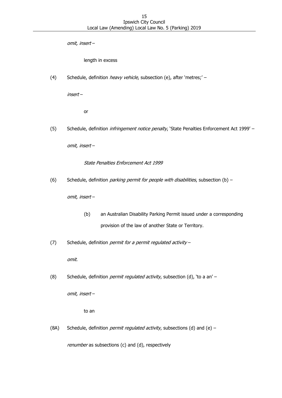omit, insert –

length in excess

(4) Schedule, definition *heavy vehicle*, subsection (e), after 'metres;' -

insert –

or

(5) Schedule, definition *infringement notice penalty*, 'State Penalties Enforcement Act 1999' –

omit, insert –

State Penalties Enforcement Act 1999

(6) Schedule, definition *parking permit for people with disabilities*, subsection (b) –

omit, insert –

- (b) an Australian Disability Parking Permit issued under a corresponding provision of the law of another State or Territory.
- (7) Schedule, definition *permit for a permit regulated activity*  $-$

omit.

(8) Schedule, definition *permit regulated activity*, subsection (d), 'to a an' -

omit, insert –

to an

(8A) Schedule, definition *permit regulated activity*, subsections (d) and (e) –

renumber as subsections (c) and (d), respectively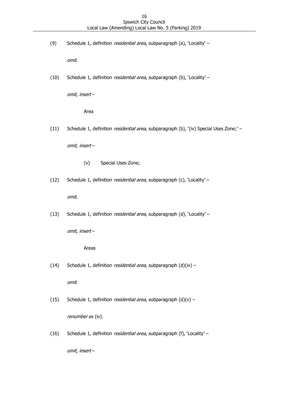(9) Schedule 1, definition residential area, subparagraph (a), 'Locality' -

omit.

(10) Schedule 1, definition *residential area*, subparagraph (b), 'Locality' –

omit, insert –

Area

(11) Schedule 1, definition *residential area*, subparagraph (b), '(iv) Special Uses Zone;' -

omit, insert –

- (v) Special Uses Zone;
- (12) Schedule 1, definition *residential area*, subparagraph (c), 'Locality' –

omit.

(13) Schedule 1, definition residential area, subparagraph (d), 'Locality' -

omit, insert –

#### Areas

(14) Schedule 1, definition *residential area*, subparagraph  $(d)(iv)$  –

omit.

(15) Schedule 1, definition *residential area*, subparagraph  $(d)(v)$  –

renumber as (iv).

(16) Schedule 1, definition residential area, subparagraph (f), 'Locality' –

omit, insert –